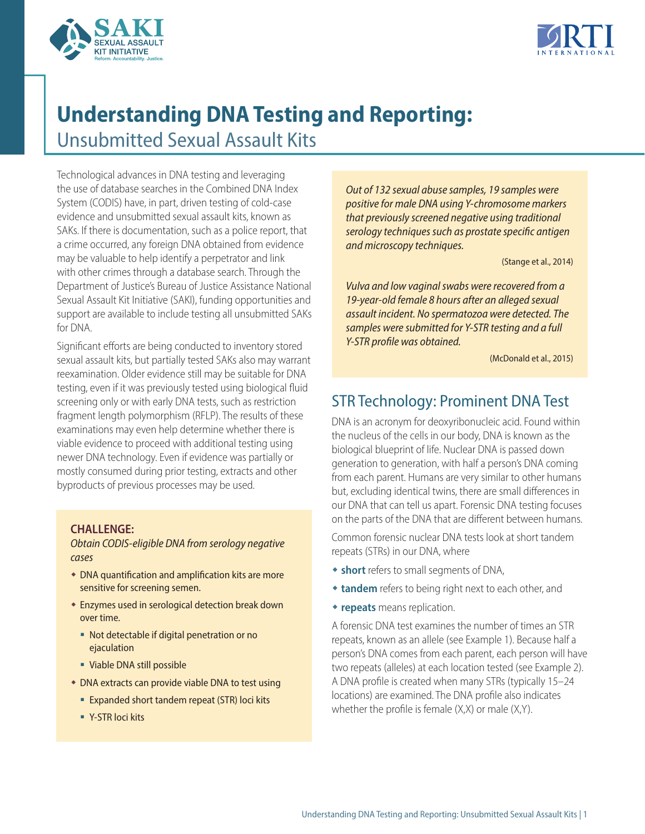



# **Understanding DNA Testing and Reporting:**

Unsubmitted Sexual Assault Kits

Technological advances in DNA testing and leveraging the use of database searches in the Combined DNA Index System (CODIS) have, in part, driven testing of cold-case evidence and unsubmitted sexual assault kits, known as SAKs. If there is documentation, such as a police report, that a crime occurred, any foreign DNA obtained from evidence may be valuable to help identify a perpetrator and link with other crimes through a database search. Through the Department of Justice's Bureau of Justice Assistance National Sexual Assault Kit Initiative (SAKI), funding opportunities and support are available to include testing all unsubmitted SAKs for DNA.

Significant efforts are being conducted to inventory stored sexual assault kits, but partially tested SAKs also may warrant reexamination. Older evidence still may be suitable for DNA testing, even if it was previously tested using biological fluid screening only or with early DNA tests, such as restriction fragment length polymorphism (RFLP). The results of these examinations may even help determine whether there is viable evidence to proceed with additional testing using newer DNA technology. Even if evidence was partially or mostly consumed during prior testing, extracts and other byproducts of previous processes may be used.

### **CHALLENGE:**

*Obtain CODIS-eligible DNA from serology negative cases*

- $\bullet$  DNA quantification and amplification kits are more sensitive for screening semen.
- **Enzymes used in serological detection break down** over time.
	- Not detectable if digital penetration or no ejaculation
	- Viable DNA still possible
- **DNA extracts can provide viable DNA to test using** 
	- **Expanded short tandem repeat (STR) loci kits**
	- Y-STR loci kits

*Out of 132 sexual abuse samples, 19 samples were positive for male DNA using Y-chromosome markers that previously screened negative using traditional serology techniques such as prostate specific antigen and microscopy techniques.* 

(Stange et al., 2014)

*Vulva and low vaginal swabs were recovered from a 19-year-old female 8 hours after an alleged sexual assault incident. No spermatozoa were detected. The samples were submitted for Y-STR testing and a full Y-STR profile was obtained.* 

(McDonald et al., 2015)

## STR Technology: Prominent DNA Test

DNA is an acronym for deoxyribonucleic acid. Found within the nucleus of the cells in our body, DNA is known as the biological blueprint of life. Nuclear DNA is passed down generation to generation, with half a person's DNA coming from each parent. Humans are very similar to other humans but, excluding identical twins, there are small differences in our DNA that can tell us apart. Forensic DNA testing focuses on the parts of the DNA that are different between humans.

Common forensic nuclear DNA tests look at short tandem repeats (STRs) in our DNA, where

- **\* short** refers to small segments of DNA,
- **tandem** refers to being right next to each other, and
- **\* repeats** means replication.

A forensic DNA test examines the number of times an STR repeats, known as an allele (see Example 1). Because half a person's DNA comes from each parent, each person will have two repeats (alleles) at each location tested (see Example 2). A DNA profile is created when many STRs (typically 15–24 locations) are examined. The DNA profile also indicates whether the profile is female (X,X) or male (X,Y).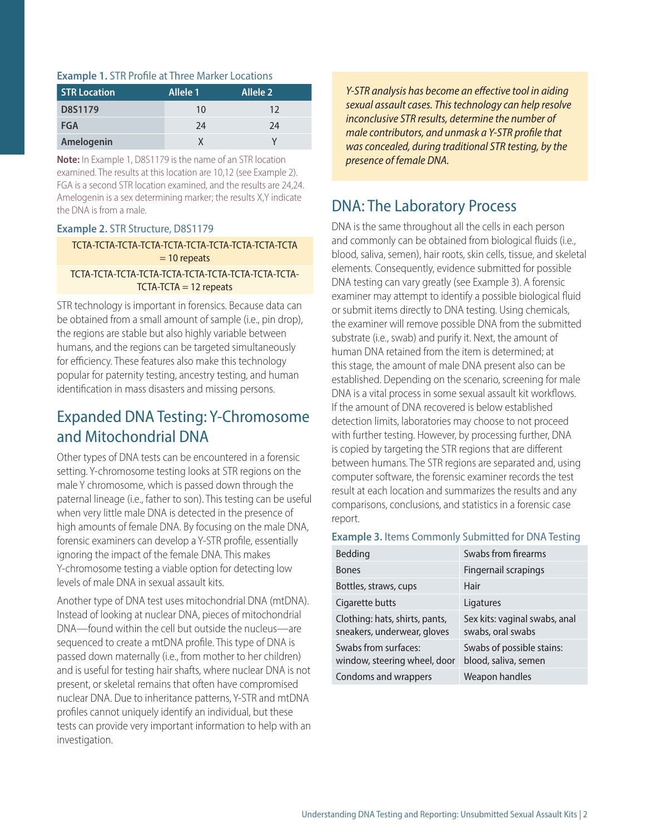### **Example 1.** STR Profile at Three Marker Locations

| <b>STR Location</b> | Allele 1 | Allele <sub>2</sub> |
|---------------------|----------|---------------------|
| D8S1179             | 10       | 12                  |
| <b>FGA</b>          | 24       | 24                  |
| Amelogenin          |          |                     |

**Note:** In Example 1, D8S1179 is the name of an STR location examined. The results at this location are 10,12 (see Example 2). FGA is a second STR location examined, and the results are 24,24. Amelogenin is a sex determining marker; the results X,Y indicate the DNA is from a male.

### **Example 2.** STR Structure, D8S1179

### TCTA-TCTA-TCTA-TCTA-TCTA-TCTA-TCTA-TCTA-TCTA-TCTA  $= 10$  repeats

### TCTA-TCTA-TCTA-TCTA-TCTA-TCTA-TCTA-TCTA-TCTA-TCTA- $TCTA-TCTA = 12$  repeats

STR technology is important in forensics. Because data can be obtained from a small amount of sample (i.e., pin drop), the regions are stable but also highly variable between humans, and the regions can be targeted simultaneously for efficiency. These features also make this technology popular for paternity testing, ancestry testing, and human identification in mass disasters and missing persons.

### Expanded DNA Testing: Y-Chromosome and Mitochondrial DNA

Other types of DNA tests can be encountered in a forensic setting. Y-chromosome testing looks at STR regions on the male Y chromosome, which is passed down through the paternal lineage (i.e., father to son). This testing can be useful when very little male DNA is detected in the presence of high amounts of female DNA. By focusing on the male DNA, forensic examiners can develop a Y-STR profile, essentially ignoring the impact of the female DNA. This makes Y-chromosome testing a viable option for detecting low levels of male DNA in sexual assault kits.

Another type of DNA test uses mitochondrial DNA (mtDNA). Instead of looking at nuclear DNA, pieces of mitochondrial DNA—found within the cell but outside the nucleus—are sequenced to create a mtDNA profile. This type of DNA is passed down maternally (i.e., from mother to her children) and is useful for testing hair shafts, where nuclear DNA is not present, or skeletal remains that often have compromised nuclear DNA. Due to inheritance patterns, Y-STR and mtDNA profiles cannot uniquely identify an individual, but these tests can provide very important information to help with an investigation.

*Y-STR analysis has become an effective tool in aiding sexual assault cases. This technology can help resolve inconclusive STR results, determine the number of male contributors, and unmask a Y-STR profile that was concealed, during traditional STR testing, by the presence of female DNA.* 

### DNA: The Laboratory Process

DNA is the same throughout all the cells in each person and commonly can be obtained from biological fluids (i.e., blood, saliva, semen), hair roots, skin cells, tissue, and skeletal elements. Consequently, evidence submitted for possible DNA testing can vary greatly (see Example 3). A forensic examiner may attempt to identify a possible biological fluid or submit items directly to DNA testing. Using chemicals, the examiner will remove possible DNA from the submitted substrate (i.e., swab) and purify it. Next, the amount of human DNA retained from the item is determined; at this stage, the amount of male DNA present also can be established. Depending on the scenario, screening for male DNA is a vital process in some sexual assault kit workflows. If the amount of DNA recovered is below established detection limits, laboratories may choose to not proceed with further testing. However, by processing further, DNA is copied by targeting the STR regions that are different between humans. The STR regions are separated and, using computer software, the forensic examiner records the test result at each location and summarizes the results and any comparisons, conclusions, and statistics in a forensic case report.

#### **Example 3.** Items Commonly Submitted for DNA Testing

| Bedding                                                       | Swabs from firearms                                |
|---------------------------------------------------------------|----------------------------------------------------|
| <b>Bones</b>                                                  | Fingernail scrapings                               |
| Bottles, straws, cups                                         | Hair                                               |
| Cigarette butts                                               | Ligatures                                          |
| Clothing: hats, shirts, pants,<br>sneakers, underwear, gloves | Sex kits: vaginal swabs, anal<br>swabs, oral swabs |
| Swabs from surfaces:<br>window, steering wheel, door          | Swabs of possible stains:<br>blood, saliva, semen  |
| Condoms and wrappers                                          | Weapon handles                                     |
|                                                               |                                                    |